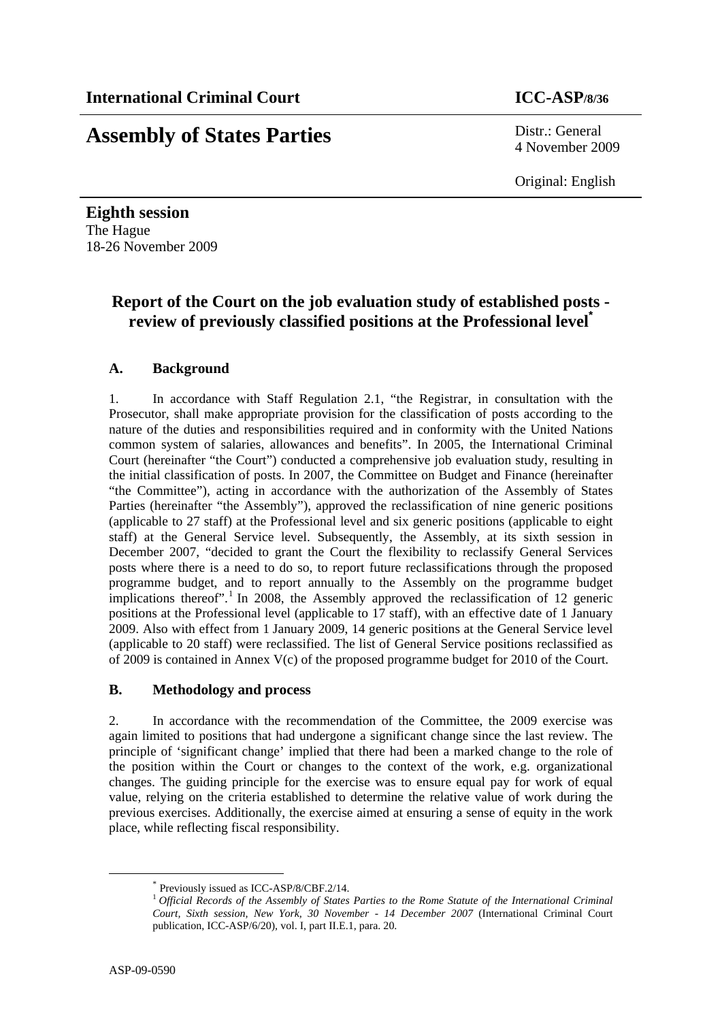# **Assembly of States Parties** Distr.: General

4 November 2009

Original: English

**Eighth session**  The Hague 18-26 November 2009

## **Report of the Court on the job evaluation study of established posts review of previously classified positions at the Professional level\***

## **A. Background**

1. In accordance with Staff Regulation 2.1, "the Registrar, in consultation with the Prosecutor, shall make appropriate provision for the classification of posts according to the nature of the duties and responsibilities required and in conformity with the United Nations common system of salaries, allowances and benefits". In 2005, the International Criminal Court (hereinafter "the Court") conducted a comprehensive job evaluation study, resulting in the initial classification of posts. In 2007, the Committee on Budget and Finance (hereinafter "the Committee"), acting in accordance with the authorization of the Assembly of States Parties (hereinafter "the Assembly"), approved the reclassification of nine generic positions (applicable to 27 staff) at the Professional level and six generic positions (applicable to eight staff) at the General Service level. Subsequently, the Assembly, at its sixth session in December 2007, "decided to grant the Court the flexibility to reclassify General Services posts where there is a need to do so, to report future reclassifications through the proposed programme budget, and to report annually to the Assembly on the programme budget implications thereof".<sup>1</sup> In 2008, the Assembly approved the reclassification of 12 generic positions at the Professional level (applicable to 17 staff), with an effective date of 1 January 2009. Also with effect from 1 January 2009, 14 generic positions at the General Service level (applicable to 20 staff) were reclassified. The list of General Service positions reclassified as of 2009 is contained in Annex V(c) of the proposed programme budget for 2010 of the Court.

## **B. Methodology and process**

2. In accordance with the recommendation of the Committee, the 2009 exercise was again limited to positions that had undergone a significant change since the last review. The principle of 'significant change' implied that there had been a marked change to the role of the position within the Court or changes to the context of the work, e.g. organizational changes. The guiding principle for the exercise was to ensure equal pay for work of equal value, relying on the criteria established to determine the relative value of work during the previous exercises. Additionally, the exercise aimed at ensuring a sense of equity in the work place, while reflecting fiscal responsibility.

 <sup>\*</sup> Previously issued as ICC-ASP/8/CBF.2/14.

<sup>1</sup> *Official Records of the Assembly of States Parties to the Rome Statute of the International Criminal Court, Sixth session, New York, 30 November - 14 December 2007* (International Criminal Court publication, ICC-ASP/6/20), vol. I, part II.E.1, para. 20.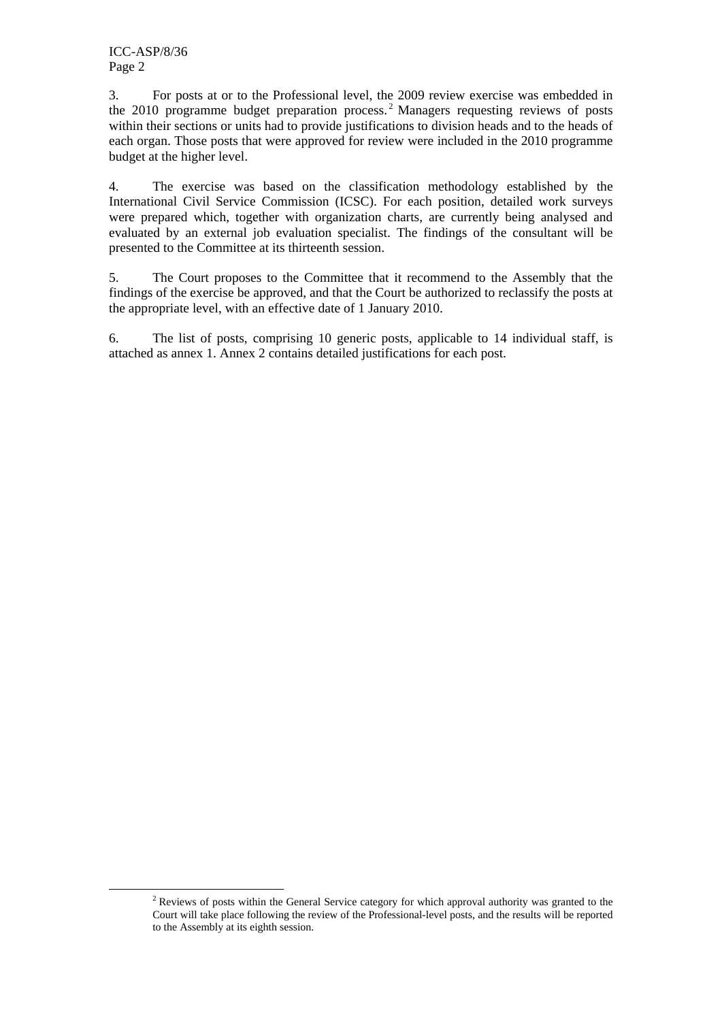3. For posts at or to the Professional level, the 2009 review exercise was embedded in the 2010 programme budget preparation process.<sup>2</sup> Managers requesting reviews of posts within their sections or units had to provide justifications to division heads and to the heads of each organ. Those posts that were approved for review were included in the 2010 programme budget at the higher level.

4. The exercise was based on the classification methodology established by the International Civil Service Commission (ICSC). For each position, detailed work surveys were prepared which, together with organization charts, are currently being analysed and evaluated by an external job evaluation specialist. The findings of the consultant will be presented to the Committee at its thirteenth session.

5. The Court proposes to the Committee that it recommend to the Assembly that the findings of the exercise be approved, and that the Court be authorized to reclassify the posts at the appropriate level, with an effective date of 1 January 2010.

6. The list of posts, comprising 10 generic posts, applicable to 14 individual staff, is attached as annex 1. Annex 2 contains detailed justifications for each post.

<sup>&</sup>lt;u>2</u>  $<sup>2</sup>$  Reviews of posts within the General Service category for which approval authority was granted to the</sup> Court will take place following the review of the Professional-level posts, and the results will be reported to the Assembly at its eighth session.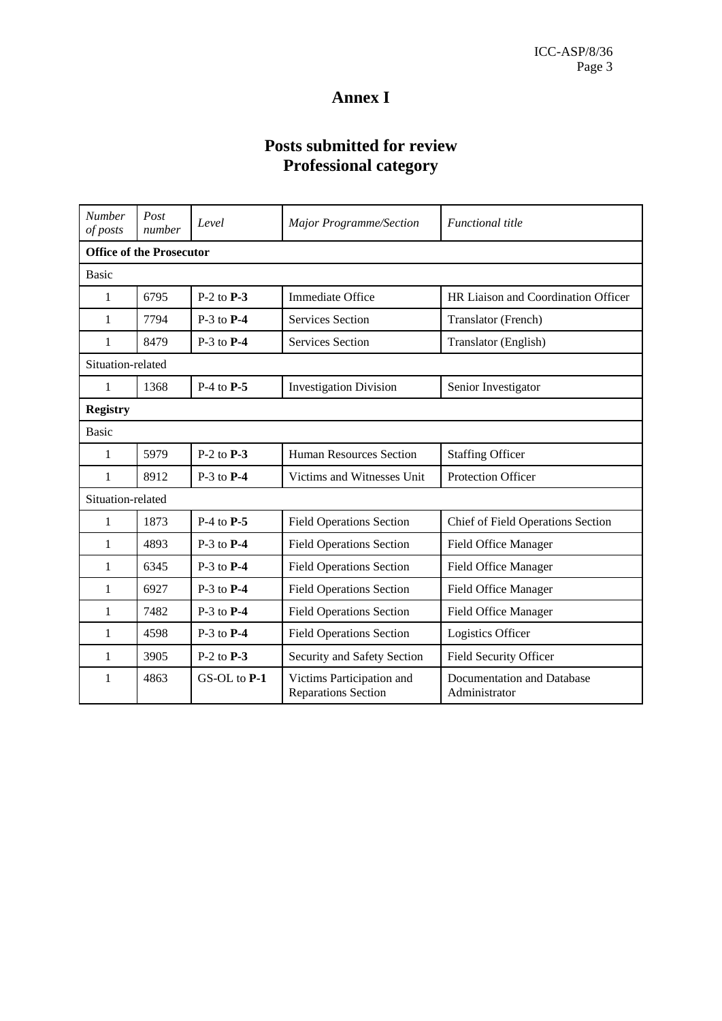# **Annex I**

# **Posts submitted for review Professional category**

| <b>Number</b><br>of posts       | Post<br>number | Level          | <b>Major Programme/Section</b>                          | <b>Functional title</b>                     |
|---------------------------------|----------------|----------------|---------------------------------------------------------|---------------------------------------------|
| <b>Office of the Prosecutor</b> |                |                |                                                         |                                             |
| <b>Basic</b>                    |                |                |                                                         |                                             |
| 1                               | 6795           | $P-2$ to $P-3$ | Immediate Office                                        | HR Liaison and Coordination Officer         |
| 1                               | 7794           | $P-3$ to $P-4$ | Services Section                                        | Translator (French)                         |
| 1                               | 8479           | $P-3$ to $P-4$ | <b>Services Section</b>                                 | Translator (English)                        |
| Situation-related               |                |                |                                                         |                                             |
| 1                               | 1368           | $P-4$ to $P-5$ | <b>Investigation Division</b>                           | Senior Investigator                         |
| <b>Registry</b>                 |                |                |                                                         |                                             |
| <b>Basic</b>                    |                |                |                                                         |                                             |
| 1                               | 5979           | $P-2$ to $P-3$ | Human Resources Section                                 | <b>Staffing Officer</b>                     |
| 1                               | 8912           | $P-3$ to $P-4$ | Victims and Witnesses Unit                              | <b>Protection Officer</b>                   |
| Situation-related               |                |                |                                                         |                                             |
| 1                               | 1873           | $P-4$ to $P-5$ | <b>Field Operations Section</b>                         | Chief of Field Operations Section           |
| 1                               | 4893           | $P-3$ to $P-4$ | <b>Field Operations Section</b>                         | Field Office Manager                        |
| 1                               | 6345           | $P-3$ to $P-4$ | <b>Field Operations Section</b>                         | Field Office Manager                        |
| 1                               | 6927           | $P-3$ to $P-4$ | <b>Field Operations Section</b>                         | Field Office Manager                        |
| 1                               | 7482           | $P-3$ to $P-4$ | <b>Field Operations Section</b>                         | Field Office Manager                        |
| 1                               | 4598           | $P-3$ to $P-4$ | <b>Field Operations Section</b>                         | Logistics Officer                           |
| 1                               | 3905           | $P-2$ to $P-3$ | Security and Safety Section                             | Field Security Officer                      |
| 1                               | 4863           | GS-OL to P-1   | Victims Participation and<br><b>Reparations Section</b> | Documentation and Database<br>Administrator |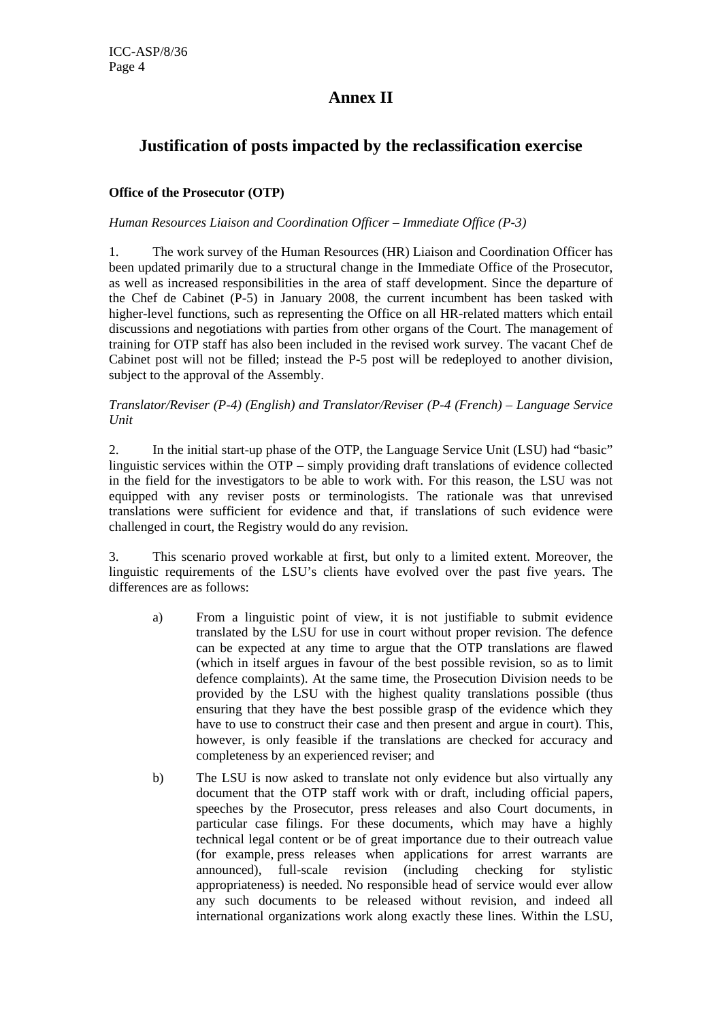## **Annex II**

## **Justification of posts impacted by the reclassification exercise**

### **Office of the Prosecutor (OTP)**

#### *Human Resources Liaison and Coordination Officer – Immediate Office (P-3)*

1. The work survey of the Human Resources (HR) Liaison and Coordination Officer has been updated primarily due to a structural change in the Immediate Office of the Prosecutor, as well as increased responsibilities in the area of staff development. Since the departure of the Chef de Cabinet (P-5) in January 2008, the current incumbent has been tasked with higher-level functions, such as representing the Office on all HR-related matters which entail discussions and negotiations with parties from other organs of the Court. The management of training for OTP staff has also been included in the revised work survey. The vacant Chef de Cabinet post will not be filled; instead the P-5 post will be redeployed to another division, subject to the approval of the Assembly.

#### *Translator/Reviser (P-4) (English) and Translator/Reviser (P-4 (French) – Language Service Unit*

2. In the initial start-up phase of the OTP, the Language Service Unit (LSU) had "basic" linguistic services within the OTP – simply providing draft translations of evidence collected in the field for the investigators to be able to work with. For this reason, the LSU was not equipped with any reviser posts or terminologists. The rationale was that unrevised translations were sufficient for evidence and that, if translations of such evidence were challenged in court, the Registry would do any revision.

3. This scenario proved workable at first, but only to a limited extent. Moreover, the linguistic requirements of the LSU's clients have evolved over the past five years. The differences are as follows:

- a) From a linguistic point of view, it is not justifiable to submit evidence translated by the LSU for use in court without proper revision. The defence can be expected at any time to argue that the OTP translations are flawed (which in itself argues in favour of the best possible revision, so as to limit defence complaints). At the same time, the Prosecution Division needs to be provided by the LSU with the highest quality translations possible (thus ensuring that they have the best possible grasp of the evidence which they have to use to construct their case and then present and argue in court). This, however, is only feasible if the translations are checked for accuracy and completeness by an experienced reviser; and
- b) The LSU is now asked to translate not only evidence but also virtually any document that the OTP staff work with or draft, including official papers, speeches by the Prosecutor, press releases and also Court documents, in particular case filings. For these documents, which may have a highly technical legal content or be of great importance due to their outreach value (for example, press releases when applications for arrest warrants are announced), full-scale revision (including checking for stylistic appropriateness) is needed. No responsible head of service would ever allow any such documents to be released without revision, and indeed all international organizations work along exactly these lines. Within the LSU,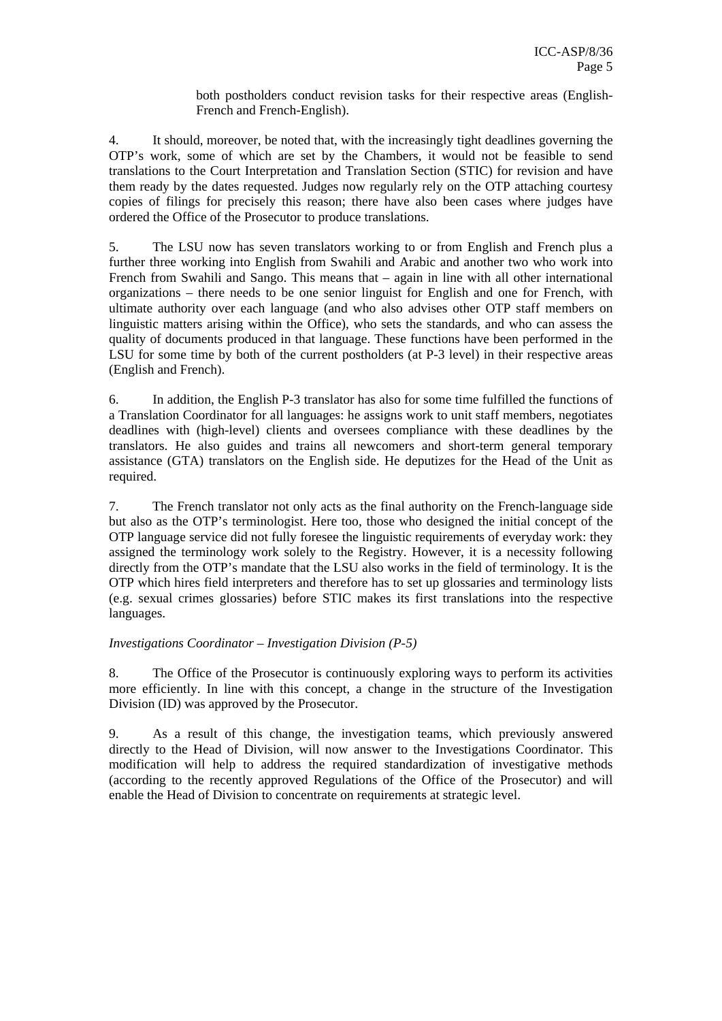both postholders conduct revision tasks for their respective areas (English-French and French-English).

4. It should, moreover, be noted that, with the increasingly tight deadlines governing the OTP's work, some of which are set by the Chambers, it would not be feasible to send translations to the Court Interpretation and Translation Section (STIC) for revision and have them ready by the dates requested. Judges now regularly rely on the OTP attaching courtesy copies of filings for precisely this reason; there have also been cases where judges have ordered the Office of the Prosecutor to produce translations.

5. The LSU now has seven translators working to or from English and French plus a further three working into English from Swahili and Arabic and another two who work into French from Swahili and Sango. This means that – again in line with all other international organizations – there needs to be one senior linguist for English and one for French, with ultimate authority over each language (and who also advises other OTP staff members on linguistic matters arising within the Office), who sets the standards, and who can assess the quality of documents produced in that language. These functions have been performed in the LSU for some time by both of the current postholders (at P-3 level) in their respective areas (English and French).

6. In addition, the English P-3 translator has also for some time fulfilled the functions of a Translation Coordinator for all languages: he assigns work to unit staff members, negotiates deadlines with (high-level) clients and oversees compliance with these deadlines by the translators. He also guides and trains all newcomers and short-term general temporary assistance (GTA) translators on the English side. He deputizes for the Head of the Unit as required.

7. The French translator not only acts as the final authority on the French-language side but also as the OTP's terminologist. Here too, those who designed the initial concept of the OTP language service did not fully foresee the linguistic requirements of everyday work: they assigned the terminology work solely to the Registry. However, it is a necessity following directly from the OTP's mandate that the LSU also works in the field of terminology. It is the OTP which hires field interpreters and therefore has to set up glossaries and terminology lists (e.g. sexual crimes glossaries) before STIC makes its first translations into the respective languages.

#### *Investigations Coordinator – Investigation Division (P-5)*

8. The Office of the Prosecutor is continuously exploring ways to perform its activities more efficiently. In line with this concept, a change in the structure of the Investigation Division (ID) was approved by the Prosecutor.

9. As a result of this change, the investigation teams, which previously answered directly to the Head of Division, will now answer to the Investigations Coordinator. This modification will help to address the required standardization of investigative methods (according to the recently approved Regulations of the Office of the Prosecutor) and will enable the Head of Division to concentrate on requirements at strategic level.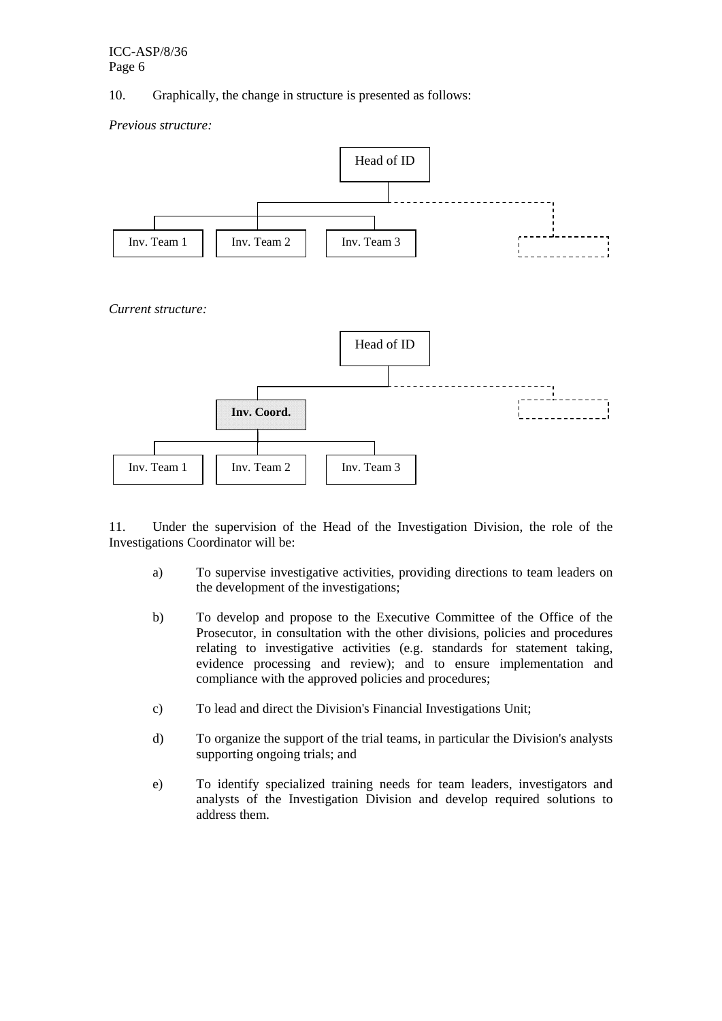10. Graphically, the change in structure is presented as follows:

*Previous structure:* 



11. Under the supervision of the Head of the Investigation Division, the role of the Investigations Coordinator will be:

- a) To supervise investigative activities, providing directions to team leaders on the development of the investigations;
- b) To develop and propose to the Executive Committee of the Office of the Prosecutor, in consultation with the other divisions, policies and procedures relating to investigative activities (e.g. standards for statement taking, evidence processing and review); and to ensure implementation and compliance with the approved policies and procedures;
- c) To lead and direct the Division's Financial Investigations Unit;
- d) To organize the support of the trial teams, in particular the Division's analysts supporting ongoing trials; and
- e) To identify specialized training needs for team leaders, investigators and analysts of the Investigation Division and develop required solutions to address them.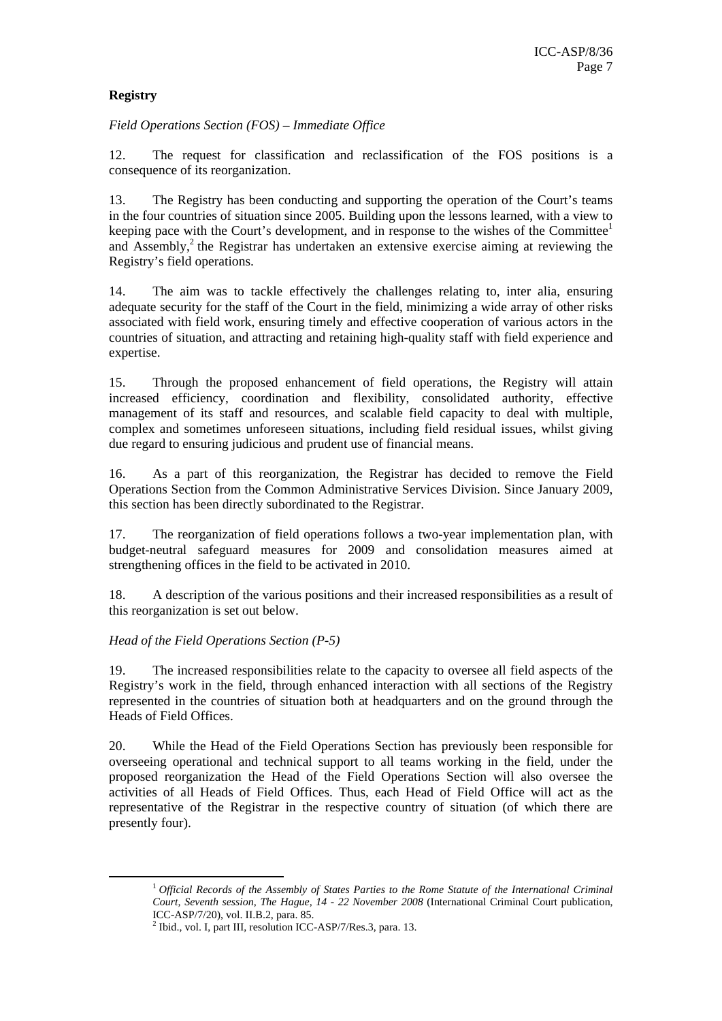## **Registry**

*Field Operations Section (FOS) – Immediate Office* 

12. The request for classification and reclassification of the FOS positions is a consequence of its reorganization.

13. The Registry has been conducting and supporting the operation of the Court's teams in the four countries of situation since 2005. Building upon the lessons learned, with a view to keeping pace with the Court's development, and in response to the wishes of the Committee<sup>1</sup> and Assembly,<sup>2</sup> the Registrar has undertaken an extensive exercise aiming at reviewing the Registry's field operations.

14. The aim was to tackle effectively the challenges relating to, inter alia, ensuring adequate security for the staff of the Court in the field, minimizing a wide array of other risks associated with field work, ensuring timely and effective cooperation of various actors in the countries of situation, and attracting and retaining high-quality staff with field experience and expertise.

15. Through the proposed enhancement of field operations, the Registry will attain increased efficiency, coordination and flexibility, consolidated authority, effective management of its staff and resources, and scalable field capacity to deal with multiple, complex and sometimes unforeseen situations, including field residual issues, whilst giving due regard to ensuring judicious and prudent use of financial means.

16. As a part of this reorganization, the Registrar has decided to remove the Field Operations Section from the Common Administrative Services Division. Since January 2009, this section has been directly subordinated to the Registrar.

17. The reorganization of field operations follows a two-year implementation plan, with budget-neutral safeguard measures for 2009 and consolidation measures aimed at strengthening offices in the field to be activated in 2010.

18. A description of the various positions and their increased responsibilities as a result of this reorganization is set out below.

### *Head of the Field Operations Section (P-5)*

19. The increased responsibilities relate to the capacity to oversee all field aspects of the Registry's work in the field, through enhanced interaction with all sections of the Registry represented in the countries of situation both at headquarters and on the ground through the Heads of Field Offices.

20. While the Head of the Field Operations Section has previously been responsible for overseeing operational and technical support to all teams working in the field, under the proposed reorganization the Head of the Field Operations Section will also oversee the activities of all Heads of Field Offices. Thus, each Head of Field Office will act as the representative of the Registrar in the respective country of situation (of which there are presently four).

 <sup>1</sup> *Official Records of the Assembly of States Parties to the Rome Statute of the International Criminal Court, Seventh session, The Hague, 14 - 22 November 2008* (International Criminal Court publication, ICC-ASP/7/20), vol. II.B.2, para. 85.

<sup>&</sup>lt;sup>2</sup> Ibid., vol. I, part III, resolution ICC-ASP/7/Res.3, para. 13.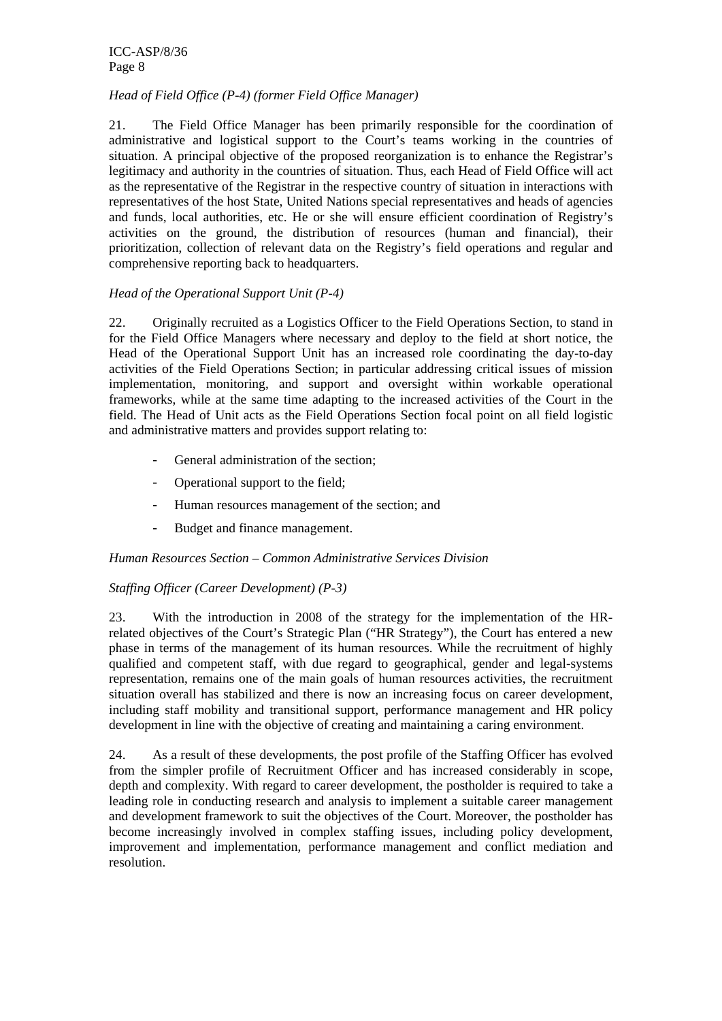ICC-ASP/8/36 Page 8

#### *Head of Field Office (P-4) (former Field Office Manager)*

21. The Field Office Manager has been primarily responsible for the coordination of administrative and logistical support to the Court's teams working in the countries of situation. A principal objective of the proposed reorganization is to enhance the Registrar's legitimacy and authority in the countries of situation. Thus, each Head of Field Office will act as the representative of the Registrar in the respective country of situation in interactions with representatives of the host State, United Nations special representatives and heads of agencies and funds, local authorities, etc. He or she will ensure efficient coordination of Registry's activities on the ground, the distribution of resources (human and financial), their prioritization, collection of relevant data on the Registry's field operations and regular and comprehensive reporting back to headquarters.

### *Head of the Operational Support Unit (P-4)*

22. Originally recruited as a Logistics Officer to the Field Operations Section, to stand in for the Field Office Managers where necessary and deploy to the field at short notice, the Head of the Operational Support Unit has an increased role coordinating the day-to-day activities of the Field Operations Section; in particular addressing critical issues of mission implementation, monitoring, and support and oversight within workable operational frameworks, while at the same time adapting to the increased activities of the Court in the field. The Head of Unit acts as the Field Operations Section focal point on all field logistic and administrative matters and provides support relating to:

- General administration of the section:
- Operational support to the field;
- Human resources management of the section; and
- Budget and finance management.

#### *Human Resources Section – Common Administrative Services Division*

#### *Staffing Officer (Career Development) (P-3)*

23. With the introduction in 2008 of the strategy for the implementation of the HRrelated objectives of the Court's Strategic Plan ("HR Strategy"), the Court has entered a new phase in terms of the management of its human resources. While the recruitment of highly qualified and competent staff, with due regard to geographical, gender and legal-systems representation, remains one of the main goals of human resources activities, the recruitment situation overall has stabilized and there is now an increasing focus on career development, including staff mobility and transitional support, performance management and HR policy development in line with the objective of creating and maintaining a caring environment.

24. As a result of these developments, the post profile of the Staffing Officer has evolved from the simpler profile of Recruitment Officer and has increased considerably in scope, depth and complexity. With regard to career development, the postholder is required to take a leading role in conducting research and analysis to implement a suitable career management and development framework to suit the objectives of the Court. Moreover, the postholder has become increasingly involved in complex staffing issues, including policy development, improvement and implementation, performance management and conflict mediation and resolution.